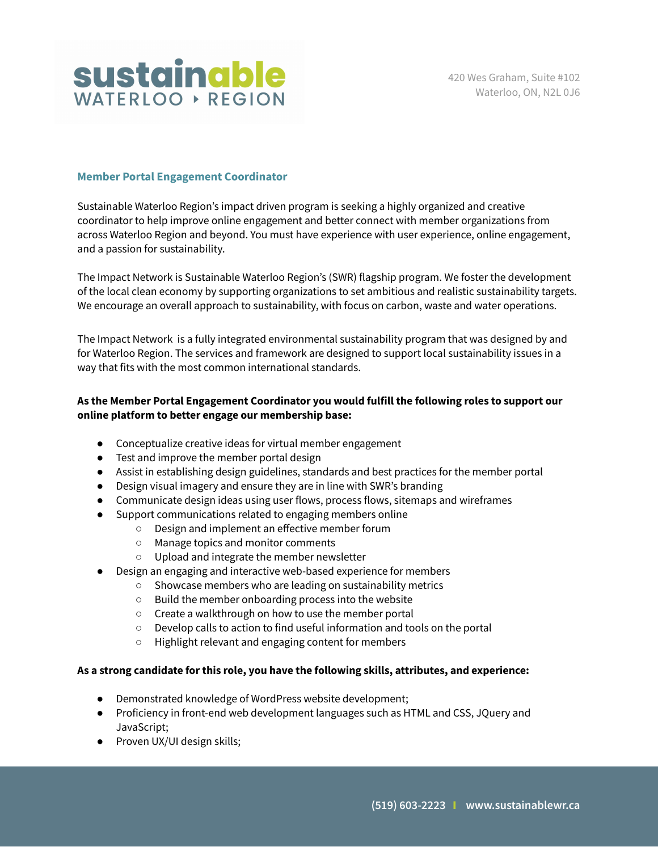

## **Member Portal Engagement Coordinator**

Sustainable Waterloo Region's impact driven program is seeking a highly organized and creative coordinator to help improve online engagement and better connect with member organizations from across Waterloo Region and beyond. You must have experience with user experience, online engagement, and a passion for sustainability.

The Impact Network is Sustainable Waterloo Region's (SWR) flagship program. We foster the development of the local clean economy by supporting organizations to set ambitious and realistic sustainability targets. We encourage an overall approach to sustainability, with focus on carbon, waste and water operations.

The Impact Network is a fully integrated environmental sustainability program that was designed by and for Waterloo Region. The services and framework are designed to support local sustainability issues in a way that fits with the most common international standards.

## **As the Member Portal Engagement Coordinator you would fulfill the following roles to support our online platform to better engage our membership base:**

- Conceptualize creative ideas for virtual member engagement
- Test and improve the member portal design
- Assist in establishing design guidelines, standards and best practices for the member portal
- Design visual imagery and ensure they are in line with SWR's branding
- Communicate design ideas using user flows, process flows, sitemaps and wireframes
- Support communications related to engaging members online
	- Design and implement an effective member forum
	- Manage topics and monitor comments
	- Upload and integrate the member newsletter
- Design an engaging and interactive web-based experience for members
	- Showcase members who are leading on sustainability metrics
	- Build the member onboarding process into the website
	- Create a walkthrough on how to use the member portal
	- Develop calls to action to find useful information and tools on the portal
	- Highlight relevant and engaging content for members

## **As a strong candidate for this role, you have the following skills, attributes, and experience:**

- Demonstrated knowledge of WordPress website development;
- Proficiency in front-end web development languages such as HTML and CSS, JQuery and JavaScript;
- Proven UX/UI design skills;